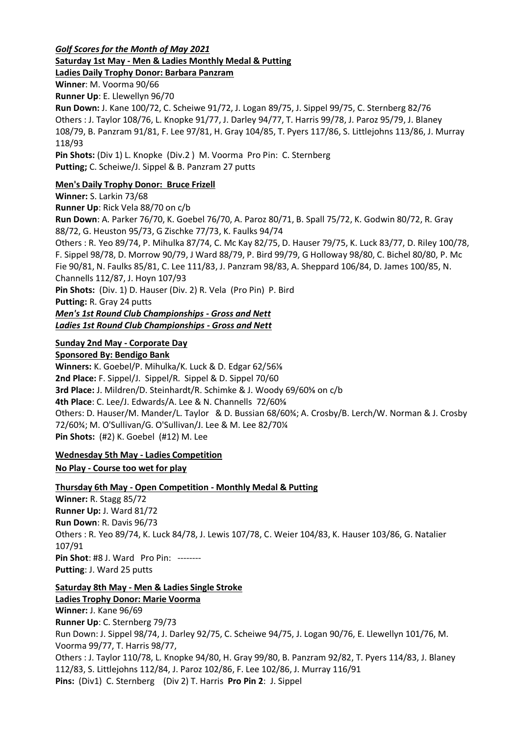*Golf Scores for the Month of May 2021* **Saturday 1st May - Men & Ladies Monthly Medal & Putting**

**Ladies Daily Trophy Donor: Barbara Panzram**

**Winner**: M. Voorma 90/66

**Runner Up**: E. Llewellyn 96/70

**Run Down:** J. Kane 100/72, C. Scheiwe 91/72, J. Logan 89/75, J. Sippel 99/75, C. Sternberg 82/76 Others : J. Taylor 108/76, L. Knopke 91/77, J. Darley 94/77, T. Harris 99/78, J. Paroz 95/79, J. Blaney 108/79, B. Panzram 91/81, F. Lee 97/81, H. Gray 104/85, T. Pyers 117/86, S. Littlejohns 113/86, J. Murray 118/93

**Pin Shots:** (Div 1) L. Knopke (Div.2 ) M. Voorma Pro Pin: C. Sternberg **Putting;** C. Scheiwe/J. Sippel & B. Panzram 27 putts

# **Men's Daily Trophy Donor: Bruce Frizell**

**Winner:** S. Larkin 73/68 **Runner Up**: Rick Vela 88/70 on c/b **Run Down**: A. Parker 76/70, K. Goebel 76/70, A. Paroz 80/71, B. Spall 75/72, K. Godwin 80/72, R. Gray 88/72, G. Heuston 95/73, G Zischke 77/73, K. Faulks 94/74 Others : R. Yeo 89/74, P. Mihulka 87/74, C. Mc Kay 82/75, D. Hauser 79/75, K. Luck 83/77, D. Riley 100/78, F. Sippel 98/78, D. Morrow 90/79, J Ward 88/79, P. Bird 99/79, G Holloway 98/80, C. Bichel 80/80, P. Mc Fie 90/81, N. Faulks 85/81, C. Lee 111/83, J. Panzram 98/83, A. Sheppard 106/84, D. James 100/85, N. Channells 112/87, J. Hoyn 107/93 **Pin Shots:** (Div. 1) D. Hauser (Div. 2) R. Vela (Pro Pin) P. Bird **Putting:** R. Gray 24 putts *Men's 1st Round Club Championships - Gross and Nett Ladies 1st Round Club Championships - Gross and Nett*

## **Sunday 2nd May - Corporate Day**

**Sponsored By: Bendigo Bank**

**Winners:** K. Goebel/P. Mihulka/K. Luck & D. Edgar 62/56⅛ **2nd Place:** F. Sippel/J. Sippel/R. Sippel & D. Sippel 70/60 **3rd Place:** J. Mildren/D. Steinhardt/R. Schimke & J. Woody 69/60⅝ on c/b **4th Place**: C. Lee/J. Edwards/A. Lee & N. Channells 72/60⅝ Others: D. Hauser/M. Mander/L. Taylor & D. Bussian 68/60¾; A. Crosby/B. Lerch/W. Norman & J. Crosby 72/60¾; M. O'Sullivan/G. O'Sullivan/J. Lee & M. Lee 82/70¼ **Pin Shots:** (#2) K. Goebel (#12) M. Lee

# **Wednesday 5th May - Ladies Competition**

**No Play - Course too wet for play**

# **Thursday 6th May - Open Competition - Monthly Medal & Putting**

**Winner:** R. Stagg 85/72 **Runner Up:** J. Ward 81/72 **Run Down**: R. Davis 96/73 Others : R. Yeo 89/74, K. Luck 84/78, J. Lewis 107/78, C. Weier 104/83, K. Hauser 103/86, G. Natalier 107/91 **Pin Shot**: #8 J. Ward Pro Pin: -------- **Putting**: J. Ward 25 putts

#### **Saturday 8th May - Men & Ladies Single Stroke**

# **Ladies Trophy Donor: Marie Voorma**

**Winner:** J. Kane 96/69 **Runner Up**: C. Sternberg 79/73 Run Down: J. Sippel 98/74, J. Darley 92/75, C. Scheiwe 94/75, J. Logan 90/76, E. Llewellyn 101/76, M. Voorma 99/77, T. Harris 98/77, Others : J. Taylor 110/78, L. Knopke 94/80, H. Gray 99/80, B. Panzram 92/82, T. Pyers 114/83, J. Blaney 112/83, S. Littlejohns 112/84, J. Paroz 102/86, F. Lee 102/86, J. Murray 116/91 **Pins:** (Div1) C. Sternberg (Div 2) T. Harris **Pro Pin 2**: J. Sippel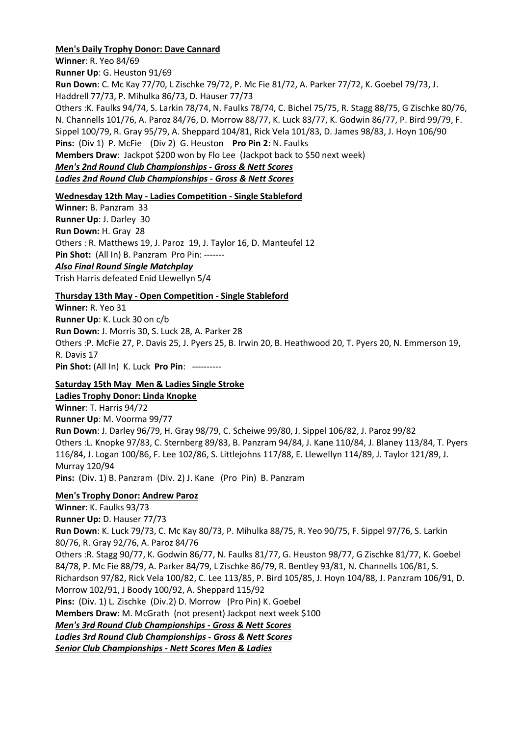## **Men's Daily Trophy Donor: Dave Cannard**

**Winner**: R. Yeo 84/69

**Runner Up**: G. Heuston 91/69

**Run Down**: C. Mc Kay 77/70, L Zischke 79/72, P. Mc Fie 81/72, A. Parker 77/72, K. Goebel 79/73, J. Haddrell 77/73, P. Mihulka 86/73, D. Hauser 77/73

Others :K. Faulks 94/74, S. Larkin 78/74, N. Faulks 78/74, C. Bichel 75/75, R. Stagg 88/75, G Zischke 80/76, N. Channells 101/76, A. Paroz 84/76, D. Morrow 88/77, K. Luck 83/77, K. Godwin 86/77, P. Bird 99/79, F. Sippel 100/79, R. Gray 95/79, A. Sheppard 104/81, Rick Vela 101/83, D. James 98/83, J. Hoyn 106/90 **Pins:** (Div 1) P. McFie (Div 2) G. Heuston **Pro Pin 2**: N. Faulks **Members Draw**: Jackpot \$200 won by Flo Lee (Jackpot back to \$50 next week) *Men's 2nd Round Club Championships - Gross & Nett Scores Ladies 2nd Round Club Championships - Gross & Nett Scores*

## **Wednesday 12th May - Ladies Competition - Single Stableford**

**Winner:** B. Panzram 33 **Runner Up**: J. Darley 30 **Run Down:** H. Gray 28 Others : R. Matthews 19, J. Paroz 19, J. Taylor 16, D. Manteufel 12 Pin Shot: (All In) B. Panzram Pro Pin: -------*Also Final Round Single Matchplay* Trish Harris defeated Enid Llewellyn 5/4

# **Thursday 13th May - Open Competition - Single Stableford**

**Winner:** R. Yeo 31 **Runner Up**: K. Luck 30 on c/b **Run Down:** J. Morris 30, S. Luck 28, A. Parker 28 Others :P. McFie 27, P. Davis 25, J. Pyers 25, B. Irwin 20, B. Heathwood 20, T. Pyers 20, N. Emmerson 19, R. Davis 17 **Pin Shot:** (All In) K. Luck **Pro Pin**: ----------

# **Saturday 15th May Men & Ladies Single Stroke**

**Ladies Trophy Donor: Linda Knopke**

**Winner**: T. Harris 94/72 **Runner Up**: M. Voorma 99/77 **Run Down**: J. Darley 96/79, H. Gray 98/79, C. Scheiwe 99/80, J. Sippel 106/82, J. Paroz 99/82 Others :L. Knopke 97/83, C. Sternberg 89/83, B. Panzram 94/84, J. Kane 110/84, J. Blaney 113/84, T. Pyers 116/84, J. Logan 100/86, F. Lee 102/86, S. Littlejohns 117/88, E. Llewellyn 114/89, J. Taylor 121/89, J. Murray 120/94 **Pins:** (Div. 1) B. Panzram (Div. 2) J. Kane (Pro Pin) B. Panzram

# **Men's Trophy Donor: Andrew Paroz**

**Winner**: K. Faulks 93/73 **Runner Up:** D. Hauser 77/73 **Run Down**: K. Luck 79/73, C. Mc Kay 80/73, P. Mihulka 88/75, R. Yeo 90/75, F. Sippel 97/76, S. Larkin 80/76, R. Gray 92/76, A. Paroz 84/76 Others :R. Stagg 90/77, K. Godwin 86/77, N. Faulks 81/77, G. Heuston 98/77, G Zischke 81/77, K. Goebel 84/78, P. Mc Fie 88/79, A. Parker 84/79, L Zischke 86/79, R. Bentley 93/81, N. Channells 106/81, S. Richardson 97/82, Rick Vela 100/82, C. Lee 113/85, P. Bird 105/85, J. Hoyn 104/88, J. Panzram 106/91, D. Morrow 102/91, J Boody 100/92, A. Sheppard 115/92 **Pins:** (Div. 1) L. Zischke (Div.2) D. Morrow (Pro Pin) K. Goebel **Members Draw:** M. McGrath (not present) Jackpot next week \$100 *Men's 3rd Round Club Championships - Gross & Nett Scores Ladies 3rd Round Club Championships - Gross & Nett Scores Senior Club Championships - Nett Scores Men & Ladies*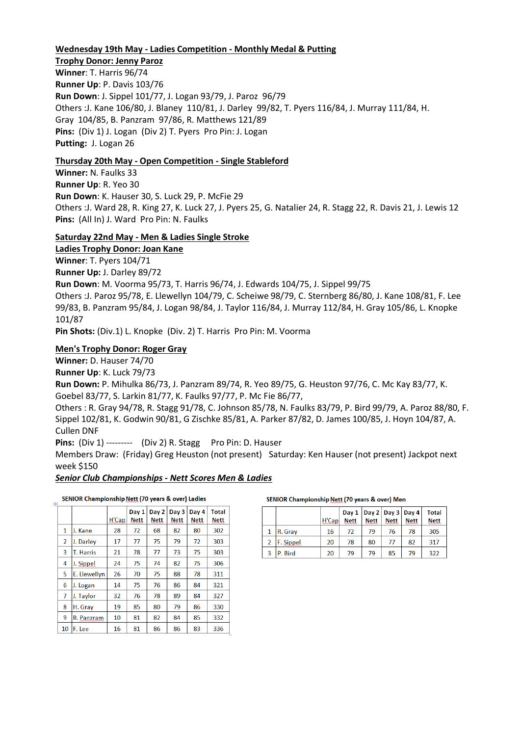#### **Wednesday 19th May - Ladies Competition - Monthly Medal & Putting**

**Trophy Donor: Jenny Paroz Winner**: T. Harris 96/74 **Runner Up**: P. Davis 103/76 **Run Down**: J. Sippel 101/77, J. Logan 93/79, J. Paroz 96/79 Others :J. Kane 106/80, J. Blaney 110/81, J. Darley 99/82, T. Pyers 116/84, J. Murray 111/84, H. Gray 104/85, B. Panzram 97/86, R. Matthews 121/89 **Pins:** (Div 1) J. Logan (Div 2) T. Pyers Pro Pin: J. Logan **Putting:** J. Logan 26

#### **Thursday 20th May - Open Competition - Single Stableford**

**Winner:** N. Faulks 33 **Runner Up**: R. Yeo 30 **Run Down**: K. Hauser 30, S. Luck 29, P. McFie 29 Others :J. Ward 28, R. King 27, K. Luck 27, J. Pyers 25, G. Natalier 24, R. Stagg 22, R. Davis 21, J. Lewis 12 **Pins:** (All In) J. Ward Pro Pin: N. Faulks

## **Saturday 22nd May - Men & Ladies Single Stroke**

**Ladies Trophy Donor: Joan Kane**

**Winner**: T. Pyers 104/71

**Runner Up:** J. Darley 89/72

**Run Down**: M. Voorma 95/73, T. Harris 96/74, J. Edwards 104/75, J. Sippel 99/75

Others :J. Paroz 95/78, E. Llewellyn 104/79, C. Scheiwe 98/79, C. Sternberg 86/80, J. Kane 108/81, F. Lee 99/83, B. Panzram 95/84, J. Logan 98/84, J. Taylor 116/84, J. Murray 112/84, H. Gray 105/86, L. Knopke 101/87

**Pin Shots:** (Div.1) L. Knopke (Div. 2) T. Harris Pro Pin: M. Voorma

#### **Men's Trophy Donor: Roger Gray**

**Winner:** D. Hauser 74/70

**Runner Up**: K. Luck 79/73

**Run Down:** P. Mihulka 86/73, J. Panzram 89/74, R. Yeo 89/75, G. Heuston 97/76, C. Mc Kay 83/77, K. Goebel 83/77, S. Larkin 81/77, K. Faulks 97/77, P. Mc Fie 86/77,

Others : R. Gray 94/78, R. Stagg 91/78, C. Johnson 85/78, N. Faulks 83/79, P. Bird 99/79, A. Paroz 88/80, F. Sippel 102/81, K. Godwin 90/81, G Zischke 85/81, A. Parker 87/82, D. James 100/85, J. Hoyn 104/87, A. Cullen DNF

**Pins:** (Div 1) --------- (Div 2) R. Stagg Pro Pin: D. Hauser

Members Draw: (Friday) Greg Heuston (not present) Saturday: Ken Hauser (not present) Jackpot next week \$150

#### *Senior Club Championships - Nett Scores Men & Ladies*

SENIOR Championship Nett (70 years & over) Ladies

| H  |                   |       |               |               |               |               |               |
|----|-------------------|-------|---------------|---------------|---------------|---------------|---------------|
|    |                   | H'Cap | Day 1<br>Nett | Day 2<br>Nett | Day 3<br>Nett | Day 4<br>Nett | Total<br>Nett |
| 1  | J. Kane           | 28    | 72            | 68            | 82            | 80            | 302           |
| 2  | J. Darley         | 17    | 77            | 75            | 79            | 72            | 303           |
| 3  | <b>T. Harris</b>  | 21    | 78            | 77            | 73            | 75            | 303           |
| 4  | J. Sippel         | 24    | 75            | 74            | 82            | 75            | 306           |
| 5  | E. Llewellyn      | 26    | 70            | 75            | 88            | 78            | 311           |
| 6  | J. Logan          | 14    | 75            | 76            | 86            | 84            | 321           |
| 7  | J. Taylor         | 32    | 76            | 78            | 89            | 84            | 327           |
| 8  | H. Gray           | 19    | 85            | 80            | 79            | 86            | 330           |
| 9  | <b>B. Panzram</b> | 10    | 81            | 82            | 84            | 85            | 332           |
| 10 | F. Lee            | 16    | 81            | 86            | 86            | 83            | 336           |

#### SENIOR Championship Nett (70 years & over) Men

|                  | H'Cap | <b>Nett</b> | <b>Nett</b> | Day $1   Day 2   Day 3   Day 4$<br><b>Nett</b> | <b>Nett</b> | Total<br>Nett |
|------------------|-------|-------------|-------------|------------------------------------------------|-------------|---------------|
| $\vert$ R. Gray  | 16    | 72          | 79          | 76                                             | 78          | 305           |
| <b>F.</b> Sippel | 20    | 78          | 80          | 77                                             | 82          | 317           |
| P. Bird          | 20    | 79          | 79          | 85                                             | 79          | 322           |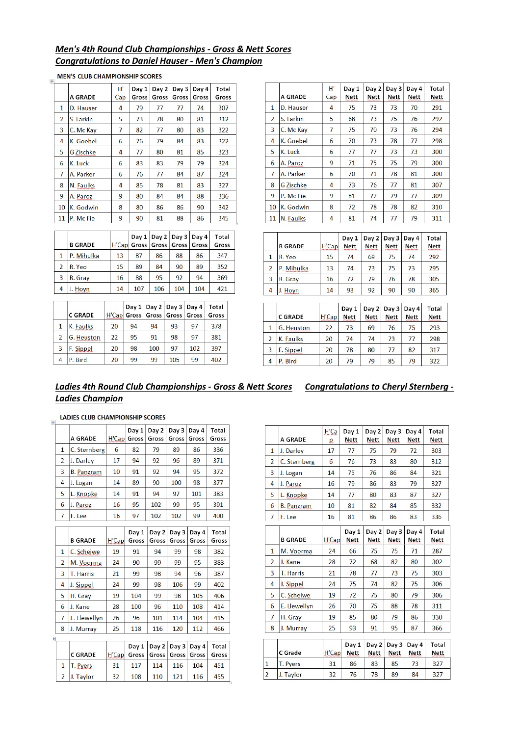# *Men's 4th Round Club Championships - Gross & Nett Scores Congratulations to Daniel Hauser - Men's Champion*

|                |           | н'  | Day 1 | Day 2 | Day 3 | Dav 4 | Total |
|----------------|-----------|-----|-------|-------|-------|-------|-------|
|                | A GRADE   | Cap | Gross | Gross | Gross | Gross | Gross |
| 1              | D. Hauser | 4   | 79    | 77    | 77    | 74    | 307   |
| $\overline{2}$ | S. Larkin | 5   | 73    | 78    | 80    | 81    | 312   |
| 3              | C. Mc Kay | 7   | 82    | 77    | 80    | 83    | 322   |
| 4              | K. Goebel | 6   | 76    | 79    | 84    | 83    | 322   |
| 5              | G Zischke | 4   | 77    | 80    | 81    | 85    | 323   |
| 6              | K. Luck   | 6   | 83    | 83    | 79    | 79    | 324   |
| 7              | A. Parker | 6   | 76    | 77    | 84    | 87    | 324   |
| 8              | N. Faulks | 4   | 85    | 78    | 81    | 83    | 327   |
| 9              | A. Paroz  | 9   | 80    | 84    | 84    | 88    | 336   |
| 10             | K. Godwin | 8   | 80    | 86    | 86    | 90    | 342   |
| 11             | P. Mc Fie | 9   | 90    | 81    | 88    | 86    | 345   |

|                         |                |    |     |     |     | Day $1  $ Day $2  $ Day $3  $ Day $4  $ | Total |
|-------------------------|----------------|----|-----|-----|-----|-----------------------------------------|-------|
|                         | <b>B GRADE</b> |    |     |     |     | H'Cap Gross   Gross   Gross   Gross     | Gross |
|                         | P. Mihulka     | 13 | 87  | 86  | 88  | 86                                      | 347   |
| 2                       | R. Yeo         | 15 | 89  | 84  | 90  | 89                                      | 352   |
| $\overline{\mathbf{3}}$ | R. Grav        | 16 | 88  | 95  | 92  | 94                                      | 369   |
|                         | Hoyn           | 14 | 107 | 106 | 104 | 104                                     | 421   |

|   |                |       |    | Day $1 \mid$ Day $2 \mid$ Day $3 \mid$ Day 4 |     |     | Total |
|---|----------------|-------|----|----------------------------------------------|-----|-----|-------|
|   | <b>C GRADE</b> | H'Cap |    | Gross   Gross   Gross   Gross                |     |     | Gross |
| 1 | K. Faulks      | 20    | 94 | 94                                           | 93  | 97  | 378   |
|   | G. Heuston     | 22    | 95 | 91                                           | 98  | 97  | 381   |
| 3 | F. Sippel      | 20    | 98 | 100                                          | 97  | 102 | 397   |
|   | P. Bird        | 20    | 99 | 99                                           | 105 | 99  | 402   |

|                | A GRADE   | H,  | Day 1<br>Nett | Day 2<br>Nett | Day 3<br>Nett | Day 4<br>Nett | Total<br>Nett |
|----------------|-----------|-----|---------------|---------------|---------------|---------------|---------------|
|                |           | Cap |               |               |               |               |               |
| 1              | D. Hauser | 4   | 75            | 73            | 73            | 70            | 291           |
| $\overline{2}$ | S. Larkin | 5   | 68            | 73            | 75            | 76            | 292           |
| 3              | C. Mc Kay | 7   | 75            | 70            | 73            | 76            | 294           |
| 4              | K. Goebel | 6   | 70            | 73            | 78            | 77            | 298           |
| 5              | K. Luck   | 6   | 77            | 77            | 73            | 73            | 300           |
| 6              | A. Paroz  | 9   | 71            | 75            | 75            | 79            | 300           |
| 7              | A. Parker | 6   | 70            | 71            | 78            | 81            | 300           |
| 8              | G Zischke | 4   | 73            | 76            | 77            | 81            | 307           |
| 9              | P. Mc Fie | 9   | 81            | 72            | 79            | 77            | 309           |
| 10             | K. Godwin | 8   | 72            | 78            | 78            | 82            | 310           |
| 11             | N. Faulks | 4   | 81            | 74            | 77            | 79            | 311           |

|                | <b>B GRADE</b> | H'Cap | Day 1<br>Nett | Day 2<br><b>Nett</b> | Day $3 \mid$ Day 4<br><b>Nett</b> | <b>Nett</b> | Total<br><b>Nett</b> |
|----------------|----------------|-------|---------------|----------------------|-----------------------------------|-------------|----------------------|
| $\mathbf{1}$   | R. Yeo         | 15    | 74            | 69                   | 75                                | 74          | 292                  |
| $\overline{2}$ | P. Mihulka     | 13    | 74            | 73                   | 75                                | 73          | 295                  |
| -3             | R. Gray        | 16    | 72            | 79                   | 76                                | 78          | 305                  |
| $\overline{4}$ | J. Hoyn        | 14    | 93            | 92                   | 90                                | 90          | 365                  |

|                | <b>C GRADE</b> | H'Cap | Day 1<br>Nett | Day 2<br>Nett | Day 3<br>Nett | Day 4<br><b>Nett</b> | Total<br><b>Nett</b> |
|----------------|----------------|-------|---------------|---------------|---------------|----------------------|----------------------|
| 1              | G. Heuston     | 22    | 73            | 69            | 76            | 75                   | 293                  |
| $\overline{2}$ | K. Faulks      | 20    | 74            | 74            | 73            | 77                   | 298                  |
| 3              | F. Sippel      | 20    | 78            | 80            | 77            | 82                   | 317                  |
| 4              | P. Bird        | 20    | 79            | 79            | 85            | 79                   | 322                  |

### *Ladies 4th Round Club Championships - Gross & Nett Scores Congratulations to Cheryl Sternberg - Ladies Champion*

|                | <b>LADIES CLUB CHAMPIONSHIP SCORES</b> |       |                |                |                             |                |                |
|----------------|----------------------------------------|-------|----------------|----------------|-----------------------------|----------------|----------------|
|                | <b>A GRADE</b>                         | H'Cap | Day 1<br>Gross | Day 2<br>Gross | Day 3<br>Gross <sup>1</sup> | Day 4<br>Gross | Total<br>Gross |
| 1              | C. Sternberg                           | 6     | 82             | 79             | 89                          | 86             | 336            |
| $\overline{a}$ | J. Darley                              | 17    | 94             | 92             | 96                          | 89             | 371            |
| 3              | <b>B.</b> Panzram                      | 10    | 91             | 92             | 94                          | 95             | 372            |
| 4              | J. Logan                               | 14    | 89             | 90             | 100                         | 98             | 377            |
| 5              | L. Knopke                              | 14    | 91             | 94             | 97                          | 101            | 383            |
| 6              | Paroz                                  | 16    | 95             | 102            | 99                          | 95             | 391            |
| 7              | F. Lee                                 | 16    | 97             | 102            | 102                         | 99             | 400            |

|                | <b>B GRADE</b> | H'Cap | Day 1<br>Gross | Day 2<br>Gross | Day 3<br>Gross | Day 4<br>Gross | Total<br>Gross |
|----------------|----------------|-------|----------------|----------------|----------------|----------------|----------------|
| 1              | C. Scheiwe     | 19    | 91             | 94             | 99             | 98             | 382            |
| $\overline{2}$ | M. Voorma      | 24    | 90             | 99             | 99             | 95             | 383            |
| 3              | T. Harris      | 21    | 99             | 98             | 94             | 96             | 387            |
| 4              | J. Sippel      | 24    | 99             | 98             | 106            | 99             | 402            |
| 5              | H. Gray        | 19    | 104            | 99             | 98             | 105            | 406            |
| 6              | J. Kane        | 28    | 100            | 96             | 110            | 108            | 414            |
| 7              | E. Llewellyn   | 26    | 96             | 101            | 114            | 104            | 415            |
| 8              | J. Murray      | 25    | 118            | 116            | 120            | 112            | 466            |
|                |                |       |                |                |                |                |                |
|                |                |       | Day 1          | Day 2          | Day 3          | Day 4          | Total          |
|                | <b>C GRADE</b> | H'Cap | Gross          | Gross          | Gross          | Gross          | Gross          |
| 1              | T. Pyers       | 31    | 117            | 114            | 116            | 104            | 451            |

J. Taylor

|                | A GRADE           | H'Ca<br>p | Day 1<br><b>Nett</b> | Day 2<br><b>Nett</b> | Day 3<br><b>Nett</b> | Day 4<br><b>Nett</b> | Total<br><b>Nett</b> |
|----------------|-------------------|-----------|----------------------|----------------------|----------------------|----------------------|----------------------|
| 1              | J. Darley         | 17        | 77                   | 75                   | 79                   | 72                   | 303                  |
| $\overline{2}$ | C. Sternberg      | 6         | 76                   | 73                   | 83                   | 80                   | 312                  |
| 3              | J. Logan          | 14        | 75                   | 76                   | 86                   | 84                   | 321                  |
| 4              | J. Paroz          | 16        | 79                   | 86                   | 83                   | 79                   | 327                  |
| 5              | L. Knopke         | 14        | 77                   | 80                   | 83                   | 87                   | 327                  |
| 6              | <b>B. Panzram</b> | 10        | 81                   | 82                   | 84                   | 85                   | 332                  |
| 7              | F. Lee            | 16        | 81                   | 86                   | 86                   | 83                   | 336                  |
|                | <b>B GRADE</b>    | H'Cap     | Day 1<br><b>Nett</b> | Day 2<br><b>Nett</b> | Day 3<br><b>Nett</b> | Day 4<br><b>Nett</b> | Total<br>Nett        |
| 1              | M. Voorma         | 24        | 66                   | 75                   | 75                   | 71                   | 287                  |
| 2              | J. Kane           | 28        | 72                   | 68                   | 82                   | 80                   | 302                  |
| 3              | T. Harris         | 21        | 78                   | 77                   | 73                   | 75                   | 303                  |
| 4              | J. Sippel         | 24        | 75                   | 74                   | 82                   | 75                   | 306                  |
| 5              | C. Scheiwe        | 19        | 72                   | 75                   | 80                   | 79                   | 306                  |
| 6              | E. Llewellyn      | 26        | 70                   | 75                   | 88                   | 78                   | 311                  |
| 7              | H. Gray           | 19        | 85                   | 80                   | 79                   | 86                   | 330                  |
| 8              | J. Murray         | 25        | 93                   | 91                   | 95                   | 87                   | 366                  |
|                | C Grade           | H'Cap     | Day 1<br><b>Nett</b> | Day 2<br><b>Nett</b> | Day 3<br><b>Nett</b> | Day 4<br><b>Nett</b> | Total<br><b>Nett</b> |
| 1              | T. Pyers          | 31        | 86                   | 83                   | 85                   | 73                   | 327                  |
| $\overline{2}$ | J. Taylor         | 32        | 76                   | 78                   | 89                   | 84                   | 327                  |